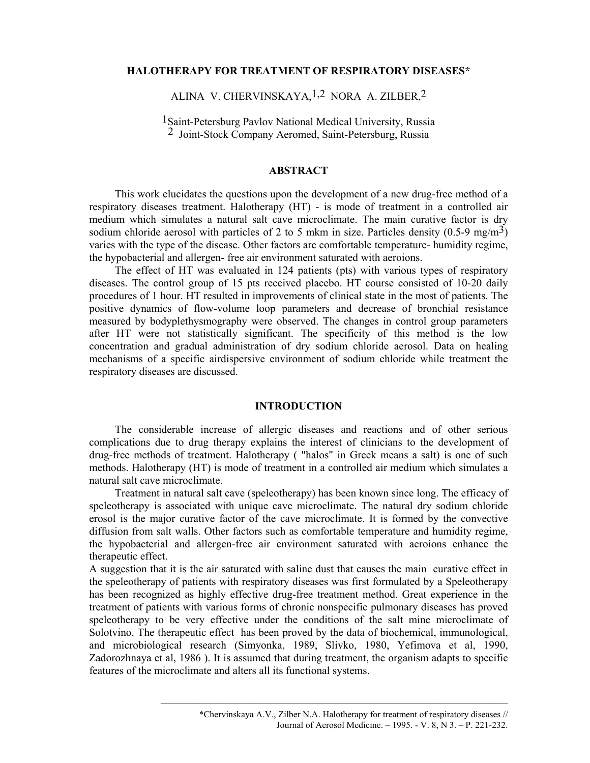## HALOTHERAPY FOR TREATMENT OF RESPIRATORY DISEASES\*

# ALINA V. CHERVINSKAYA,1,2 NORA A. ZILBER,2

<sup>1</sup>Saint-Petersburg Pavlov National Medical University, Russia 2 Joint-Stock Company Aeromed, Saint-Petersburg, Russia

### ABSTRACT

This work elucidates the questions upon the development of a new drug-free method of a respiratory diseases treatment. Halotherapy (HT) - is mode of treatment in a controlled air medium which simulates a natural salt cave microclimate. The main curative factor is dry sodium chloride aerosol with particles of 2 to 5 mkm in size. Particles density  $(0.5\n-9 \text{ mg/m}^3)$ varies with the type of the disease. Other factors are comfortable temperature- humidity regime, the hypobacterial and allergen- free air environment saturated with aeroions.

The effect of HT was evaluated in 124 patients (pts) with various types of respiratory diseases. The control group of 15 pts received placebo. HT course consisted of 10-20 daily procedures of 1 hour. HT resulted in improvements of clinical state in the most of patients. The positive dynamics of flow-volume loop parameters and decrease of bronchial resistance measured by bodyplethysmography were observed. The changes in control group parameters after HT were not statistically significant. The specificity of this method is the low concentration and gradual administration of dry sodium chloride aerosol. Data on healing mechanisms of a specific airdispersive environment of sodium chloride while treatment the respiratory diseases are discussed.

### INTRODUCTION

The considerable increase of allergic diseases and reactions and of other serious complications due to drug therapy explains the interest of clinicians to the development of drug-free methods of treatment. Halotherapy ( "halos" in Greek means a salt) is one of such methods. Halotherapy (HT) is mode of treatment in a controlled air medium which simulates a natural salt cave microclimate.

Treatment in natural salt cave (speleotherapy) has been known since long. The efficacy of speleotherapy is associated with unique cave microclimate. The natural dry sodium chloride erosol is the major curative factor of the cave microclimate. It is formed by the convective diffusion from salt walls. Other factors such as comfortable temperature and humidity regime, the hypobacterial and allergen-free air environment saturated with aeroions enhance the therapeutic effect.

A suggestion that it is the air saturated with saline dust that causes the main curative effect in the speleotherapy of patients with respiratory diseases was first formulated by a Speleotherapy has been recognized as highly effective drug-free treatment method. Great experience in the treatment of patients with various forms of chronic nonspecific pulmonary diseases has proved speleotherapy to be very effective under the conditions of the salt mine microclimate of Solotvino. The therapeutic effect has been proved by the data of biochemical, immunological, and microbiological research (Simyonka, 1989, Slivko, 1980, Yefimova et al, 1990, Zadorozhnaya et al, 1986 ). It is assumed that during treatment, the organism adapts to specific features of the microclimate and alters all its functional systems.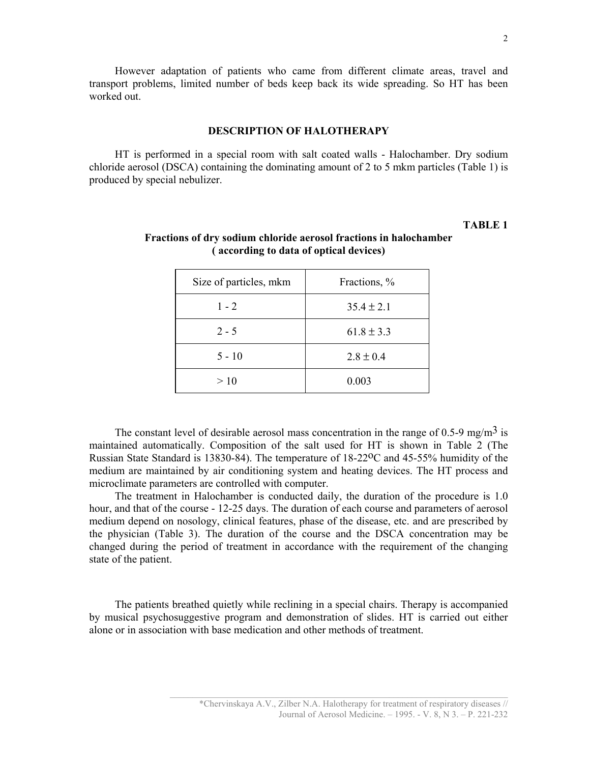However adaptation of patients who came from different climate areas, travel and transport problems, limited number of beds keep back its wide spreading. So HT has been worked out.

#### DESCRIPTION OF HALOTHERAPY

HT is performed in a special room with salt coated walls - Halochamber. Dry sodium chloride aerosol (DSCA) containing the dominating amount of 2 to 5 mkm particles (Table 1) is produced by special nebulizer.

# TABLE 1

| Size of particles, mkm | Fractions, %   |
|------------------------|----------------|
| $1 - 2$                | $35.4 \pm 2.1$ |
| $2 - 5$                | $61.8 \pm 3.3$ |
| $5 - 10$               | $2.8 \pm 0.4$  |
| >10                    | 0.003          |

# Fractions of dry sodium chloride aerosol fractions in halochamber ( according to data of optical devices)

The constant level of desirable aerosol mass concentration in the range of 0.5-9 mg/m<sup>3</sup> is maintained automatically. Composition of the salt used for HT is shown in Table 2 (The Russian State Standard is 13830-84). The temperature of 18-22oC and 45-55% humidity of the medium are maintained by air conditioning system and heating devices. The HT process and microclimate parameters are controlled with computer.

The treatment in Halochamber is conducted daily, the duration of the procedure is 1.0 hour, and that of the course - 12-25 days. The duration of each course and parameters of aerosol medium depend on nosology, clinical features, phase of the disease, etc. and are prescribed by the physician (Table 3). The duration of the course and the DSCA concentration may be changed during the period of treatment in accordance with the requirement of the changing state of the patient.

The patients breathed quietly while reclining in a special chairs. Therapy is accompanied by musical psychosuggestive program and demonstration of slides. HT is carried out either alone or in association with base medication and other methods of treatment.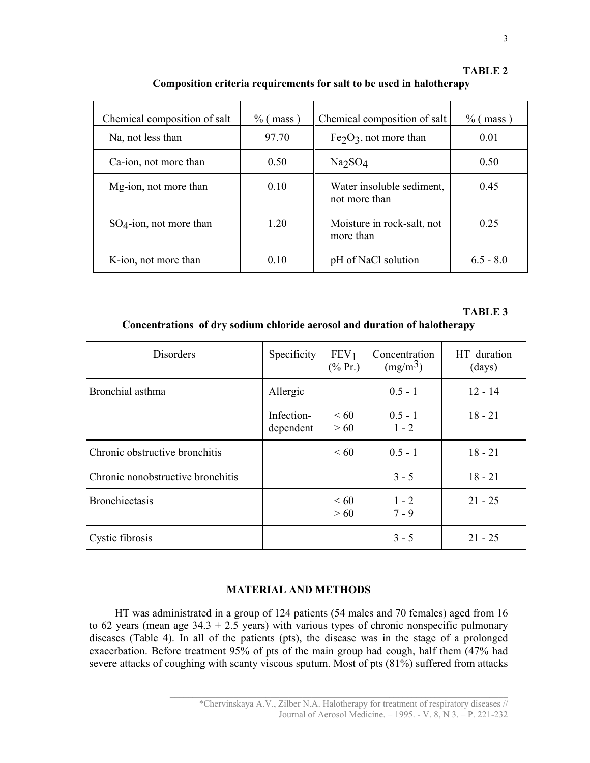| Chemical composition of salt | $\%$ (mass) | Chemical composition of salt               | $\%$ (mass) |
|------------------------------|-------------|--------------------------------------------|-------------|
| Na, not less than            | 97.70       | $Fe2O3$ , not more than                    | 0.01        |
| Ca-ion, not more than        | 0.50        | Na <sub>2</sub> SO <sub>4</sub>            | 0.50        |
| Mg-ion, not more than        | 0.10        | Water insoluble sediment,<br>not more than | 0.45        |
| $SO_4$ -ion, not more than   | 1.20        | Moisture in rock-salt, not<br>more than    | 0.25        |
| K-ion, not more than         | 010         | pH of NaCl solution                        | $65 - 80$   |

TABLE 2 Composition criteria requirements for salt to be used in halotherapy

# TABLE 3

# Concentrations of dry sodium chloride aerosol and duration of halotherapy

| <b>Disorders</b>                  | Specificity             | FEV <sub>1</sub><br>$(\% \Pr)$ | Concentration<br>(mg/m <sup>3</sup> ) | HT duration<br>(days) |
|-----------------------------------|-------------------------|--------------------------------|---------------------------------------|-----------------------|
| Bronchial asthma                  | Allergic                |                                | $0.5 - 1$                             | $12 - 14$             |
|                                   | Infection-<br>dependent | <60<br>>60                     | $0.5 - 1$<br>$1 - 2$                  | $18 - 21$             |
| Chronic obstructive bronchitis    |                         | $\leq 60$                      | $0.5 - 1$                             | $18 - 21$             |
| Chronic nonobstructive bronchitis |                         |                                | $3 - 5$                               | $18 - 21$             |
| <b>Bronchiectasis</b>             |                         | <60<br>> 60                    | $1 - 2$<br>$7 - 9$                    | $21 - 25$             |
| Cystic fibrosis                   |                         |                                | $3 - 5$                               | $21 - 25$             |

## MATERIAL AND METHODS

HT was administrated in a group of 124 patients (54 males and 70 females) aged from 16 to 62 years (mean age  $34.3 + 2.5$  years) with various types of chronic nonspecific pulmonary diseases (Table 4). In all of the patients (pts), the disease was in the stage of a prolonged exacerbation. Before treatment 95% of pts of the main group had cough, half them (47% had severe attacks of coughing with scanty viscous sputum. Most of pts (81%) suffered from attacks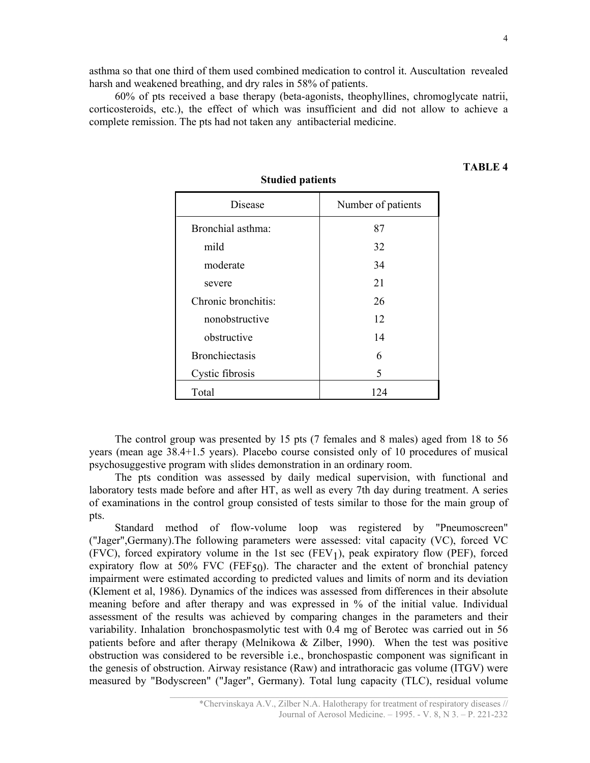asthma so that one third of them used combined medication to control it. Auscultation revealed harsh and weakened breathing, and dry rales in 58% of patients.

60% of pts received a base therapy (beta-agonists, theophyllines, chromoglycate natrii, corticosteroids, etc.), the effect of which was insufficient and did not allow to achieve a complete remission. The pts had not taken any antibacterial medicine.

| Disease               | Number of patients |  |
|-----------------------|--------------------|--|
| Bronchial asthma:     | 87                 |  |
| mild                  | 32                 |  |
| moderate              | 34                 |  |
| severe                | 21                 |  |
| Chronic bronchitis:   | 26                 |  |
| nonobstructive        | 12                 |  |
| obstructive           | 14                 |  |
| <b>Bronchiectasis</b> | 6                  |  |
| Cystic fibrosis       | 5                  |  |
| Total                 | 124                |  |

# Studied patients

The control group was presented by 15 pts (7 females and 8 males) aged from 18 to 56 years (mean age 38.4+1.5 years). Placebo course consisted only of 10 procedures of musical psychosuggestive program with slides demonstration in an ordinary room.

The pts condition was assessed by daily medical supervision, with functional and laboratory tests made before and after HT, as well as every 7th day during treatment. A series of examinations in the control group consisted of tests similar to those for the main group of pts.

Standard method of flow-volume loop was registered by "Pneumoscreen" ("Jager",Germany).The following parameters were assessed: vital capacity (VC), forced VC (FVC), forced expiratory volume in the 1st sec  $(FEV<sub>1</sub>)$ , peak expiratory flow (PEF), forced expiratory flow at 50% FVC (FEF $\zeta_0$ ). The character and the extent of bronchial patency impairment were estimated according to predicted values and limits of norm and its deviation (Klement et al, 1986). Dynamics of the indices was assessed from differences in their absolute meaning before and after therapy and was expressed in % of the initial value. Individual assessment of the results was achieved by comparing changes in the parameters and their variability. Inhalation bronchospasmolytic test with 0.4 mg of Berotec was carried out in 56 patients before and after therapy (Melnikowa & Zilber, 1990). When the test was positive obstruction was considered to be reversible i.e., bronchospastic component was significant in the genesis of obstruction. Airway resistance (Raw) and intrathoracic gas volume (ITGV) were measured by "Bodyscreen" ("Jager", Germany). Total lung capacity (TLC), residual volume

#### TABLE 4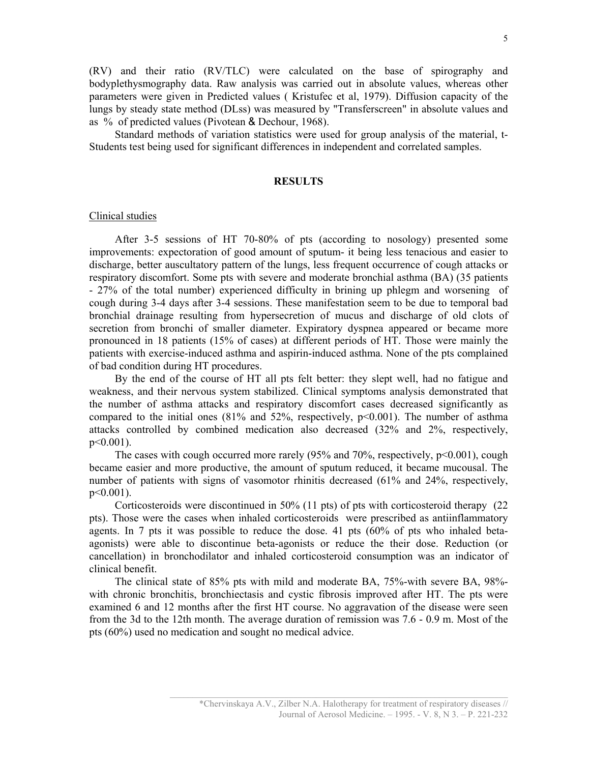(RV) and their ratio (RV/TLC) were calculated on the base of spirography and bodyplethysmography data. Raw analysis was carried out in absolute values, whereas other parameters were given in Predicted values ( Kristufec et al, 1979). Diffusion capacity of the lungs by steady state method (DLss) was measured by "Transferscreen" in absolute values and as % of predicted values (Pivotean & Dechour, 1968).

Standard methods of variation statistics were used for group analysis of the material, t-Students test being used for significant differences in independent and correlated samples.

## **RESULTS**

#### Clinical studies

After 3-5 sessions of HT 70-80% of pts (according to nosology) presented some improvements: expectoration of good amount of sputum- it being less tenacious and easier to discharge, better auscultatory pattern of the lungs, less frequent occurrence of cough attacks or respiratory discomfort. Some pts with severe and moderate bronchial asthma (BA) (35 patients - 27% of the total number) experienced difficulty in brining up phlegm and worsening of cough during 3-4 days after 3-4 sessions. These manifestation seem to be due to temporal bad bronchial drainage resulting from hypersecretion of mucus and discharge of old clots of secretion from bronchi of smaller diameter. Expiratory dyspnea appeared or became more pronounced in 18 patients (15% of cases) at different periods of HT. Those were mainly the patients with exercise-induced asthma and aspirin-induced asthma. None of the pts complained of bad condition during HT procedures.

By the end of the course of HT all pts felt better: they slept well, had no fatigue and weakness, and their nervous system stabilized. Clinical symptoms analysis demonstrated that the number of asthma attacks and respiratory discomfort cases decreased significantly as compared to the initial ones  $(81\%$  and  $52\%$ , respectively,  $p<0.001$ ). The number of asthma attacks controlled by combined medication also decreased (32% and 2%, respectively, p<0.001).

The cases with cough occurred more rarely  $(95\% \text{ and } 70\% \text{, respectively, } p<0.001)$ , cough became easier and more productive, the amount of sputum reduced, it became mucousal. The number of patients with signs of vasomotor rhinitis decreased (61% and 24%, respectively, p<0.001).

Corticosteroids were discontinued in 50% (11 pts) of pts with corticosteroid therapy (22 pts). Those were the cases when inhaled corticosteroids were prescribed as antiinflammatory agents. In 7 pts it was possible to reduce the dose. 41 pts (60% of pts who inhaled betaagonists) were able to discontinue beta-agonists or reduce the their dose. Reduction (or cancellation) in bronchodilator and inhaled corticosteroid consumption was an indicator of clinical benefit.

The clinical state of 85% pts with mild and moderate BA, 75%-with severe BA, 98% with chronic bronchitis, bronchiectasis and cystic fibrosis improved after HT. The pts were examined 6 and 12 months after the first HT course. No aggravation of the disease were seen from the 3d to the 12th month. The average duration of remission was 7.6 - 0.9 m. Most of the pts (60%) used no medication and sought no medical advice.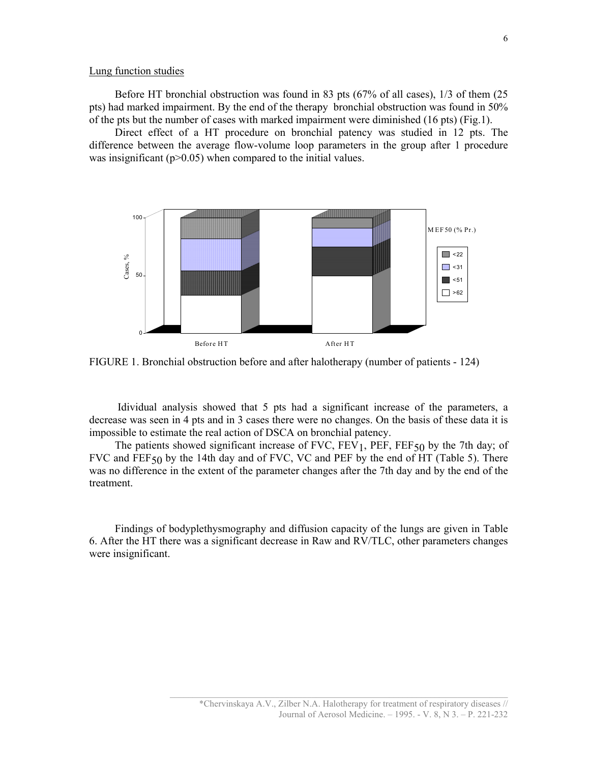#### Lung function studies

Before HT bronchial obstruction was found in 83 pts (67% of all cases), 1/3 of them (25 pts) had marked impairment. By the end of the therapy bronchial obstruction was found in 50% of the pts but the number of cases with marked impairment were diminished (16 pts) (Fig.1).

Direct effect of a HT procedure on bronchial patency was studied in 12 pts. The difference between the average flow-volume loop parameters in the group after 1 procedure was insignificant  $(p>0.05)$  when compared to the initial values.



FIGURE 1. Bronchial obstruction before and after halotherapy (number of patients - 124)

 Idividual analysis showed that 5 pts had a significant increase of the parameters, a decrease was seen in 4 pts and in 3 cases there were no changes. On the basis of these data it is impossible to estimate the real action of DSCA on bronchial patency.

The patients showed significant increase of  $FVC$ ,  $FEV_1$ ,  $PEF$ ,  $FEF_{50}$  by the 7th day; of FVC and FEF $50$  by the 14th day and of FVC, VC and PEF by the end of HT (Table 5). There was no difference in the extent of the parameter changes after the 7th day and by the end of the treatment.

Findings of bodyplethysmography and diffusion capacity of the lungs are given in Table 6. After the HT there was a significant decrease in Raw and RV/TLC, other parameters changes were insignificant.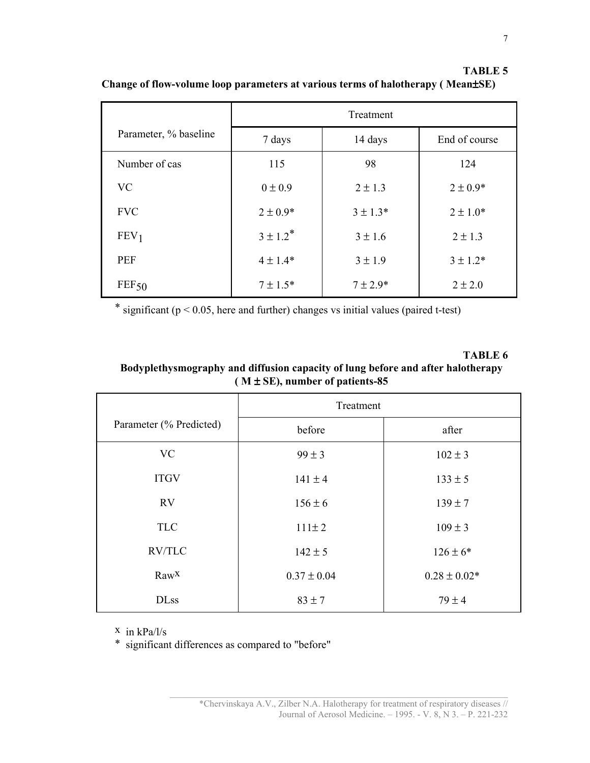|                       | Treatment     |              |               |
|-----------------------|---------------|--------------|---------------|
| Parameter, % baseline | 7 days        | 14 days      | End of course |
| Number of cas         | 115           | 98           | 124           |
| <b>VC</b>             | $0 \pm 0.9$   | $2 \pm 1.3$  | $2 \pm 0.9*$  |
| <b>FVC</b>            | $2 \pm 0.9*$  | $3 \pm 1.3*$ | $2 \pm 1.0*$  |
| FEV <sub>1</sub>      | $3 \pm 1.2^*$ | $3 \pm 1.6$  | $2 \pm 1.3$   |
| <b>PEF</b>            | $4 \pm 1.4*$  | $3 \pm 1.9$  | $3 \pm 1.2*$  |
| FEF50                 | $7 \pm 1.5*$  | $7 \pm 2.9*$ | $2 \pm 2.0$   |

TABLE 5 Change of flow-volume loop parameters at various terms of halotherapy ( Mean±SE)

\* significant ( $p < 0.05$ , here and further) changes vs initial values (paired t-test)

ТАBLE 6 Bodyplethysmography and diffusion capacity of lung before and after halotherapy ( $M \pm SE$ ), number of patients-85

|                         | Treatment       |                  |  |
|-------------------------|-----------------|------------------|--|
| Parameter (% Predicted) | before          | after            |  |
| <b>VC</b>               | $99 \pm 3$      | $102 \pm 3$      |  |
| <b>ITGV</b>             | $141 \pm 4$     | $133 \pm 5$      |  |
| <b>RV</b>               | $156 \pm 6$     | $139 \pm 7$      |  |
| <b>TLC</b>              | $111 \pm 2$     | $109 \pm 3$      |  |
| <b>RV/TLC</b>           | $142 \pm 5$     | $126 \pm 6*$     |  |
| $\text{Raw}^{\text{X}}$ | $0.37 \pm 0.04$ | $0.28 \pm 0.02*$ |  |
| <b>DLss</b>             | $83 \pm 7$      | $79 \pm 4$       |  |

x in kPa/l/s

\* significant differences as compared to "before"

7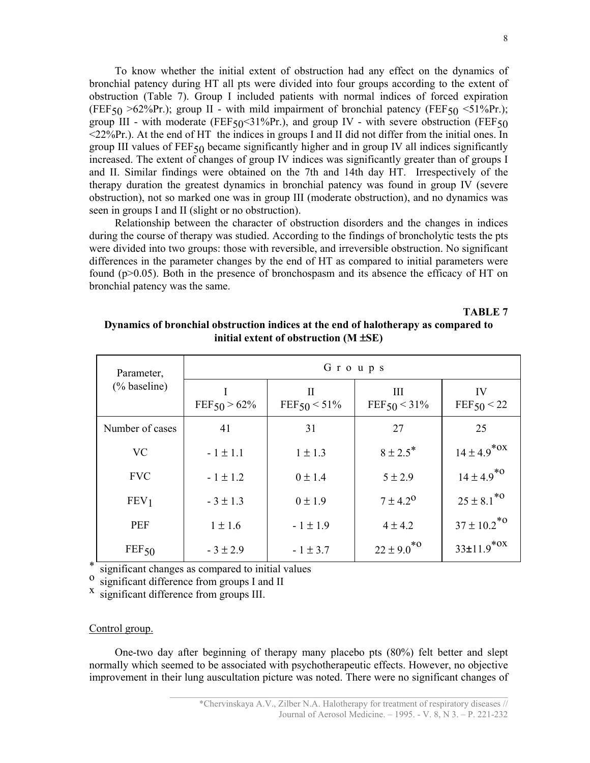To know whether the initial extent of obstruction had any effect on the dynamics of bronchial patency during HT all pts were divided into four groups according to the extent of obstruction (Table 7). Group I included patients with normal indices of forced expiration (FEF<sub>50</sub>  $>62\%$ Pr.); group II - with mild impairment of bronchial patency (FEF<sub>50</sub>  $<$ 51%Pr.); group III - with moderate (FEF $50<31\%$ Pr.), and group IV - with severe obstruction (FEF $50$ <22%Pr.). At the end of HT the indices in groups I and II did not differ from the initial ones. In group III values of  $FEF_{50}$  became significantly higher and in group IV all indices significantly increased. The extent of changes of group IV indices was significantly greater than of groups I and II. Similar findings were obtained on the 7th and 14th day HT. Irrespectively of the therapy duration the greatest dynamics in bronchial patency was found in group IV (severe obstruction), not so marked one was in group III (moderate obstruction), and no dynamics was seen in groups I and II (slight or no obstruction).

Relationship between the character of obstruction disorders and the changes in indices during the course of therapy was studied. According to the findings of broncholytic tests the pts were divided into two groups: those with reversible, and irreversible obstruction. No significant differences in the parameter changes by the end of HT as compared to initial parameters were found  $(p>0.05)$ . Both in the presence of bronchospasm and its absence the efficacy of HT on bronchial patency was the same.

ТABLE 7

| Parameter,       | Groups         |                     |                     |                            |
|------------------|----------------|---------------------|---------------------|----------------------------|
| (% baseline)     | $FEF50 > 62\%$ | H<br>$FEF50 < 51\%$ | Ш<br>$FEF50 < 31\%$ | IV<br>FEF50 < 22           |
| Number of cases  | 41             | 31                  | 27                  | 25                         |
| <b>VC</b>        | $-1 \pm 1.1$   | $1 \pm 1.3$         | $8 \pm 2.5^*$       | $14 \pm 4.9^{*0X}$         |
| <b>FVC</b>       | $-1 \pm 1.2$   | $0 \pm 1.4$         | $5 \pm 2.9$         | $14 \pm 4.9^{*0}$          |
| FEV <sub>1</sub> | $-3 \pm 1.3$   | $0 \pm 1.9$         | $7 \pm 4.2^{\circ}$ | $25 \pm 8.1^{*0}$          |
| <b>PEF</b>       | $1 \pm 1.6$    | $-1 \pm 1.9$        | $4 \pm 4.2$         | $37 \pm 10.2^{*0}$         |
| FEF50            | $-3 \pm 2.9$   | $-1 \pm 3.7$        | $22 \pm 9.0^{*0}$   | $33\pm11.9$ <sup>*OX</sup> |

# Dynamics of bronchial obstruction indices at the end of halotherapy as compared to initial extent of obstruction  $(M \pm SE)$

significant changes as compared to initial values

<sup>o</sup> significant difference from groups I and II

x significant difference from groups III.

### Control group.

One-two day after beginning of therapy many placebo pts (80%) felt better and slept normally which seemed to be associated with psychotherapeutic effects. However, no objective improvement in their lung auscultation picture was noted. There were no significant changes of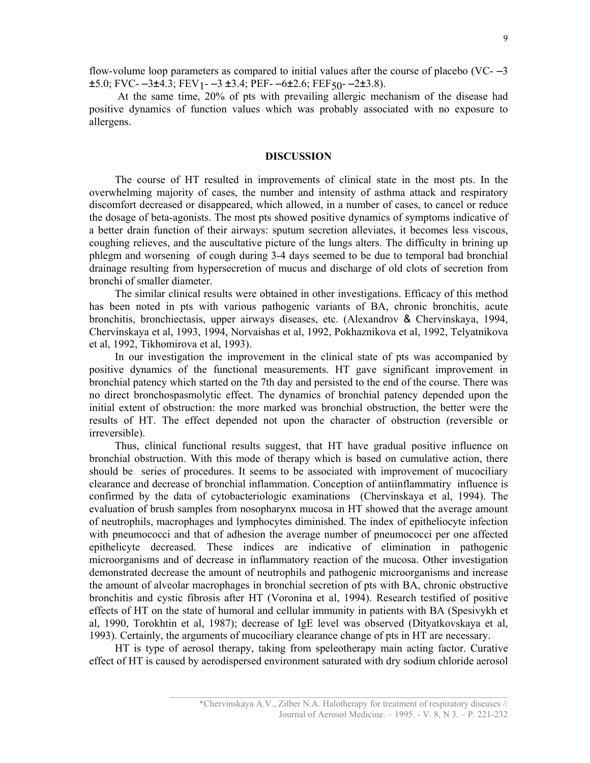At the same time, 20% of pts with prevailing allergic mechanism of the disease had positive dynamics of function values which was probably associated with no exposure to allergens.

#### DISCUSSION

The course of HT resulted in improvements of clinical state in the most pts. In the overwhelming majority of cases, the number and intensity of asthma attack and respiratory discomfort decreased or disappeared, which allowed, in a number of cases, to cancel or reduce the dosage of beta-agonists. The most pts showed positive dynamics of symptoms indicative of a better drain function of their airways: sputum secretion alleviates, it becomes less viscous, coughing relieves, and the auscultative picture of the lungs alters. The difficulty in brining up phlegm and worsening of cough during 3-4 days seemed to be due to temporal bad bronchial drainage resulting from hypersecretion of mucus and discharge of old clots of secretion from bronchi of smaller diameter.

The similar clinical results were obtained in other investigations. Efficacy of this method has been noted in pts with various pathogenic variants of BA, chronic bronchitis, acute bronchitis, bronchiectasis, upper airways diseases, etc. (Alexandrov & Chervinskaya, 1994, Chervinskaya et al, 1993, 1994, Norvaishas et al, 1992, Pokhaznikova et al, 1992, Telyatnikova et al, 1992, Tikhomirova et al, 1993).

In our investigation the improvement in the clinical state of pts was accompanied by positive dynamics of the functional measurements. HT gave significant improvement in bronchial patency which started on the 7th day and persisted to the end of the course. There was no direct bronchospasmolytic effect. The dynamics of bronchial patency depended upon the initial extent of obstruction: the more marked was bronchial obstruction, the better were the results of HT. The effect depended not upon the character of obstruction (reversible or irreversible).

Thus, clinical functional results suggest, that HT have gradual positive influence on bronchial obstruction. With this mode of therapy which is based on cumulative action, there should be series of procedures. It seems to be associated with improvement of mucociliary clearance and decrease of bronchial inflammation. Conception of antiinflammatiry influence is confirmed by the data of cytobacteriologic examinations (Chervinskaya et al, 1994). The evaluation of brush samples from nosopharynx mucosa in HT showed that the average amount of neutrophils, macrophages and lymphocytes diminished. The index of epitheliocyte infection with pneumococci and that of adhesion the average number of pneumococci per one affected epithelicyte decreased. These indices are indicative of elimination in pathogenic microorganisms and of decrease in inflammatory reaction of the mucosa. Other investigation demonstrated decrease the amount of neutrophils and pathogenic microorganisms and increase the amount of alveolar macrophages in bronchial secretion of pts with BA, chronic obstructive bronchitis and cystic fibrosis after HT (Voronina et al, 1994). Research testified of positive effects of HT on the state of humoral and cellular immunity in patients with BA (Spesivykh et al, 1990, Torokhtin et al, 1987); decrease of IgE level was observed (Dityatkovskaya et al, 1993). Certainly, the arguments of mucociliary clearance change of pts in HT are necessary.

HT is type of aerosol therapy, taking from speleotherapy main acting factor. Curative effect of HT is caused by aerodispersed environment saturated with dry sodium chloride aerosol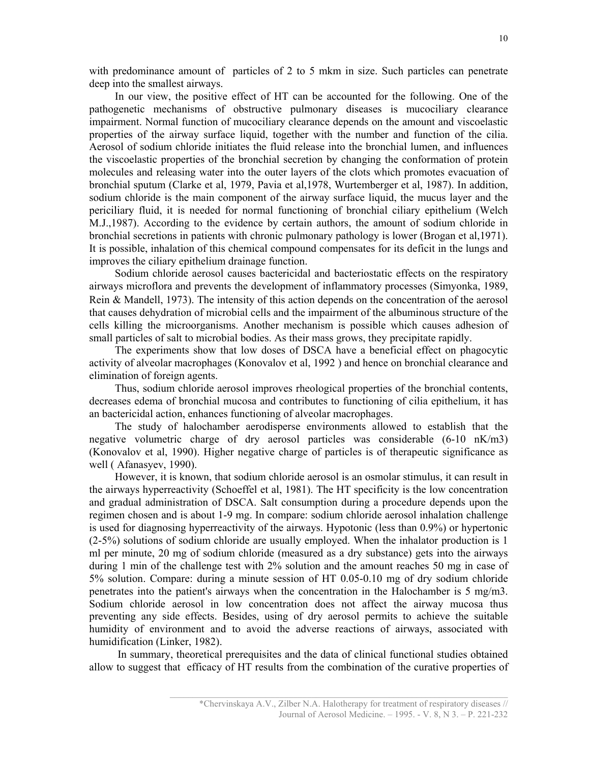with predominance amount of particles of 2 to 5 mkm in size. Such particles can penetrate deep into the smallest airways.

In our view, the positive effect of HT can be accounted for the following. One of the pathogenetic mechanisms of obstructive pulmonary diseases is mucociliary clearance impairment. Normal function of mucociliary clearance depends on the amount and viscoelastic properties of the airway surface liquid, together with the number and function of the cilia. Aerosol of sodium chloride initiates the fluid release into the bronchial lumen, and influences the viscoelastic properties of the bronchial secretion by changing the conformation of protein molecules and releasing water into the outer layers of the clots which promotes evacuation of bronchial sputum (Clarke et al, 1979, Pavia et al,1978, Wurtemberger et al, 1987). In addition, sodium chloride is the main component of the airway surface liquid, the mucus layer and the periciliary fluid, it is needed for normal functioning of bronchial ciliary epithelium (Welch M.J.,1987). According to the evidence by certain authors, the amount of sodium chloride in bronchial secretions in patients with chronic pulmonary pathology is lower (Brogan et al,1971). It is possible, inhalation of this chemical compound compensates for its deficit in the lungs and improves the ciliary epithelium drainage function.

Sodium chloride aerosol causes bactericidal and bacteriostatic effects on the respiratory airways microflora and prevents the development of inflammatory processes (Simyonka, 1989, Rein & Mandell, 1973). The intensity of this action depends on the concentration of the aerosol that causes dehydration of microbial cells and the impairment of the albuminous structure of the cells killing the microorganisms. Another mechanism is possible which causes adhesion of small particles of salt to microbial bodies. As their mass grows, they precipitate rapidly.

The experiments show that low doses of DSCA have a beneficial effect on phagocytic activity of alveolar macrophages (Konovalov et al, 1992 ) and hence on bronchial clearance and elimination of foreign agents.

Thus, sodium chloride aerosol improves rheological properties of the bronchial contents, decreases edema of bronchial mucosa and contributes to functioning of cilia epithelium, it has an bactericidal action, enhances functioning of alveolar macrophages.

The study of halochamber aerodisperse environments allowed to establish that the negative volumetric charge of dry aerosol particles was considerable (6-10 nK/m3) (Konovalov et al, 1990). Higher negative charge of particles is of therapeutic significance as well ( Afanasyev, 1990).

However, it is known, that sodium chloride aerosol is an osmolar stimulus, it can result in the airways hyperreactivity (Schoeffel et al, 1981). The HT specificity is the low concentration and gradual administration of DSCA. Salt consumption during a procedure depends upon the regimen chosen and is about 1-9 mg. In compare: sodium chloride aerosol inhalation challenge is used for diagnosing hyperreactivity of the airways. Hypotonic (less than 0.9%) or hypertonic (2-5%) solutions of sodium chloride are usually employed. When the inhalator production is 1 ml per minute, 20 mg of sodium chloride (measured as a dry substance) gets into the airways during 1 min of the challenge test with 2% solution and the amount reaches 50 mg in case of 5% solution. Compare: during a minute session of HT 0.05-0.10 mg of dry sodium chloride penetrates into the patient's airways when the сoncentration in the Halochamber is 5 mg/m3. Sodium chloride aerosol in low concentration does not affect the airway mucosa thus preventing any side effects. Besides, using of dry aerosol permits to achieve the suitable humidity of environment and to avoid the adverse reactions of airways, associated with humidification (Linker, 1982).

 In summary, theoretical prerequisites and the data of clinical functional studies obtained allow to suggest that efficacy of HT results from the combination of the curative properties of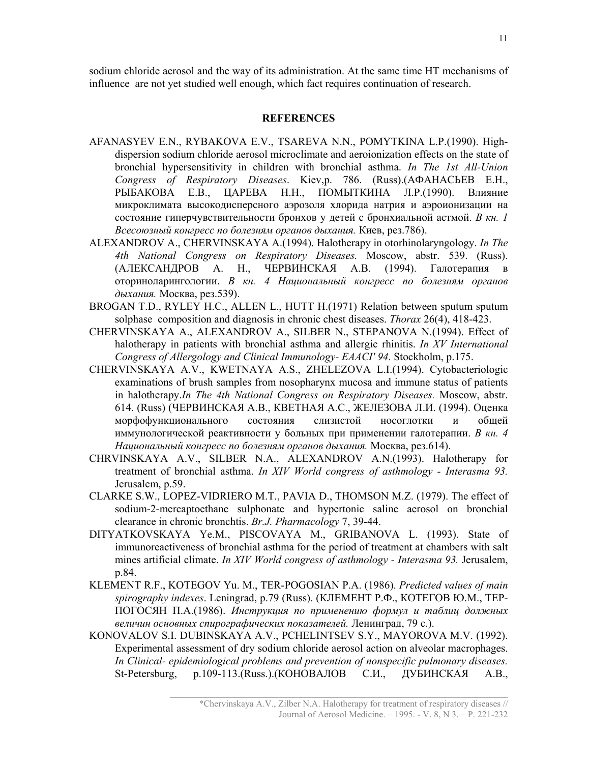sodium chloride aerosol and the way of its administration. At the same time HT mechanisms of influence are not yet studied well enough, which fact requires continuation of research.

## **REFERENCES**

- AFANASYEV E.N., RYBAKOVA E.V., TSAREVA N.N., POMYTKINA L.P.(1990). Highdispersion sodium chloride aerosol microclimate and aeroionization effects on the state of bronchial hypersensitivity in children with bronchial asthma. In The 1st All-Union Congress of Respiratory Diseases. Kiev,p. 786. (Russ).(АФАНАСЬЕВ Е.Н., РЫБАКОВА Е.В., ЦАРЕВА Н.Н., ПОМЫТКИНА Л.Р.(1990). Влияние микроклимата высокодисперсного аэрозоля хлорида натрия и аэроионизации на состояние гиперчувствительности бронхов у детей с бронхиальной астмой. В кн. 1 Всесоюзный конгресс по болезням органов дыхания. Киев, рез.786).
- ALEXANDROV A., CHERVINSKAYA A.(1994). Halotherapy in otorhinolaryngology. In The 4th National Congress on Respiratory Diseases. Moscow, abstr. 539. (Russ). (АЛЕКСАНДРОВ А. Н., ЧЕРВИНСКАЯ А.В. (1994). Галотерапия в оториноларингологии. B кн. 4 Национальный конгресс по болезням органов дыхания. Москва, рез.539).
- BROGAN T.D., RYLEY H.C., ALLEN L., HUTT H.(1971) Relation between sputum sputum solphase composition and diagnosis in chronic chest diseases. Thorax 26(4), 418-423.
- CHERVINSKAYA A., ALEXANDROV A., SILBER N., STEPANOVA N.(1994). Effect of halotherapy in patients with bronchial asthma and allergic rhinitis. In XV International Congress of Allergology and Clinical Immunology- EAACI' 94. Stockholm, p.175.
- CHERVINSKAYA A.V., KWETNAYA A.S., ZHELEZOVA L.I.(1994). Cytobacteriologic examinations of brush samples from nosopharynx mucosa and immune status of patients in halotherapy.In The 4th National Congress on Respiratory Diseases. Moscow, abstr. 614. (Russ) (ЧЕРВИНСКАЯ А.В., КВЕТНАЯ А.С., ЖЕЛЕЗОВА Л.И. (1994). Оценка морфофункционального состояния слизистой носоглотки и общей иммунологической реактивности у больных при применении галотерапии. В кн. 4 Национальный конгресс по болезням органов дыхания. Москва, рез.614).
- CHRVINSKAYA A.V., SILBER N.A., ALEXANDROV A.N.(1993). Halotherapy for treatment of bronchial asthma. In XIV World congress of asthmology - Interasma 93. Jerusalem, p.59.
- CLARKE S.W., LOPEZ-VIDRIERO M.T., PAVIA D., THOMSON M.Z. (1979). The effect of sodium-2-mercaptoethane sulphonate and hypertonic saline aerosol on bronchial clearance in chronic bronchtis. Br.J. Pharmacology 7, 39-44.
- DITYATKOVSKAYA Ye.M., PISCOVAYA M., GRIBANOVA L. (1993). State of immunoreactiveness of bronchial asthma for the period of treatment at chambers with salt mines artificial climate. In XIV World congress of asthmology - Interasma 93. Jerusalem, p.84.
- KLEMENT R.F., KOTEGOV Yu. M., TER-POGOSIAN P.A. (1986). Predicted values of main spirography indexes. Leningrad, p.79 (Russ). (КЛЕМЕНТ Р.Ф., КОТЕГОВ Ю.М., ТЕР-ПОГОСЯН П.А.(1986). Инструкция по применению формул и таблиц должных величин основных спирографических показателей. Ленинград, 79 с.).
- KONOVALOV S.I. DUBINSKAYA A.V., PCHELINTSEV S.Y., MAYOROVA M.V. (1992). Experimental assessment of dry sodium chloride aerosol action on alveolar macrophages. In Clinical- epidemiological problems and prevention of nonspecific pulmonary diseases. St-Petersburg, p.109-113.(Russ.).(КОНОВАЛОВ С.И., ДУБИНСКАЯ А.В.,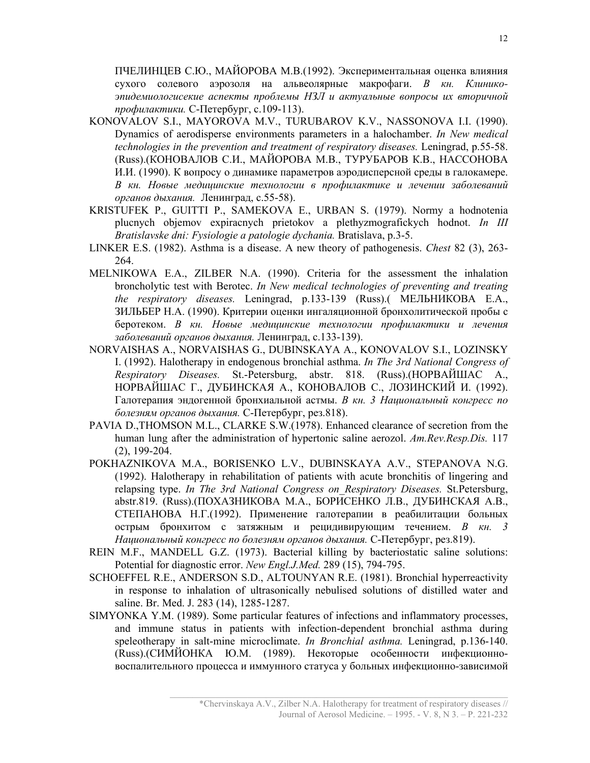ПЧЕЛИНЦЕВ С.Ю., МАЙОРОВА М.В.(1992). Экспериментальная оценка влияния сухого солевого аэрозоля на альвеолярные макрофаги. В кн. Клиникоэпидемиологисекие аспекты проблемы НЗЛ и актуальные вопросы их вторичной профилактики. С-Петербург, с.109-113).

- KONOVALOV S.I., MAYOROVA M.V., TURUBAROV K.V., NASSONOVA I.I. (1990). Dynamics of aerodisperse environments parameters in a halochamber. In New medical technologies in the prevention and treatment of respiratory diseases. Leningrad, p.55-58. (Russ).(КОНОВАЛОВ С.И., МАЙОРОВА М.В., ТУРУБАРОВ К.В., НАССОНОВА И.И. (1990). К вопросу о динамике параметров аэродисперсной среды в галокамере. В кн. Новые медицинские технологии в профилактике и лечении заболеваний органов дыхания. Ленинград, с.55-58).
- KRISTUFEK P., GUITTI P., SAMEKOVA E., URBAN S. (1979). Normy a hodnotenia plucnych objemov expiracnych prietokov a plethyzmografickych hodnot. In III Bratislavske dni: Fysiologie a patologie dychania. Bratislava, p.3-5.
- LINKER E.S. (1982). Asthma is a disease. A new theory of pathogenesis. Chest 82 (3), 263- 264.
- MELNIKOWA E.A., ZILBER N.A. (1990). Criteria for the assessment the inhalation broncholytic test with Berotec. In New medical technologies of preventing and treating the respiratory diseases. Leningrad, p.133-139 (Russ).( МЕЛЬНИКОВА Е.А., ЗИЛЬБЕР Н.А. (1990). Критерии оценки ингаляционной бронхолитической пробы с беротеком. В кн. Новые медицинские технологии профилактики и лечения заболеваний органов дыхания. Ленинград, с.133-139).
- NORVAISHAS A., NORVAISHAS G., DUBINSKAYA A., KONOVALOV S.I., LOZINSKY I. (1992). Halotherapy in endogenous bronchial asthma. In The 3rd National Congress of Respiratory Diseases. St.-Petersburg, abstr. 818. (Russ).(НОРВАЙШАС А., НОРВАЙШАС Г., ДУБИНСКАЯ А., КОНОВАЛОВ С., ЛОЗИНСКИЙ И. (1992). Галотерапия эндогенной бронхиальной астмы. В кн. 3 Национальный конгресс по болезням органов дыхания. С-Петербург, рез.818).
- PAVIA D.,THOMSON M.L., CLARKE S.W.(1978). Enhanced clearance of secretion from the human lung after the administration of hypertonic saline aerozol. Am.Rev.Resp.Dis. 117 (2), 199-204.
- POKHAZNIKOVA M.A., BORISENKO L.V., DUBINSKAYA A.V., STEPANOVA N.G. (1992). Halotherapy in rehabilitation of patients with acute bronchitis of lingering and relapsing type. In The 3rd National Congress on Respiratory Diseases. St.Petersburg, abstr.819. (Russ).(ПОХАЗНИКОВА М.А., БОРИСЕНКО Л.В., ДУБИНСКАЯ А.В., СТЕПАНОВА Н.Г.(1992). Применение галотерапии в реабилитации больных острым бронхитом с затяжным и рецидивирующим течением. В кн. 3 Национальный конгресс по болезням органов дыхания. С-Петербург, рез.819).
- REIN M.F., MANDELL G.Z. (1973). Bacterial killing by bacteriostatic saline solutions: Potential for diagnostic error. New Engl.J.Med. 289 (15), 794-795.
- SCHOEFFEL R.E., ANDERSON S.D., ALTOUNYAN R.E. (1981). Bronchial hyperreactivity in response to inhalation of ultrasonically nebulised solutions of distilled water and saline. Br. Med. J. 283 (14), 1285-1287.
- SIMYONKA Y.M. (1989). Some particular features of infections and inflammatory processes, and immune status in patients with infection-dependent bronchial asthma during speleotherapy in salt-mine microclimate. In Bronchial asthma. Leningrad, p.136-140. (Russ).(СИМЙОНКА Ю.М. (1989). Некоторые особенности инфекционновоспалительного процесса и иммунного статуса у больных инфекционно-зависимой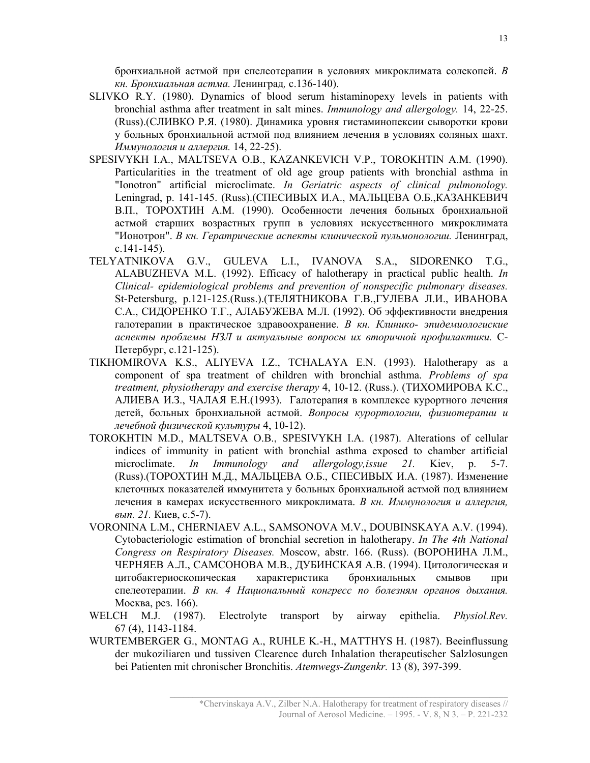бронхиальной астмой при спелеотерапии в условиях микроклимата солекопей. В кн. Бронхиальная астма. Ленинград, с.136-140).

- SLIVKO R.Y. (1980). Dynamics of blood serum histaminopexy levels in patients with bronchial asthma after treatment in salt mines. Immunology and allergology. 14, 22-25. (Russ).(СЛИВКО Р.Я. (1980). Динамика уровня гистаминопексии сыворотки крови у больных бронхиальной астмой под влиянием лечения в условиях соляных шахт. Иммунология и аллергия. 14, 22-25).
- SPESIVYKH I.A., MALTSEVA O.B., KAZANKEVICH V.P., TOROKHTIN A.M. (1990). Particularities in the treatment of old age group patients with bronchial asthma in "Ionotron" artificial microclimate. In Geriatric aspects of clinical pulmonology. Leningrad, p. 141-145. (Russ).(СПЕСИВЫХ И.А., МАЛЬЦЕВА О.Б.,КАЗАНКЕВИЧ В.П., ТОРОХТИН А.М. (1990). Особенности лечения больных бронхиальной астмой старших возрастных групп в условиях искусственного микроклимата "Ионотрон". В кн. Гератрические аспекты клинической пульмонологии. Ленинград, с.141-145).
- TELYATNIKOVA G.V., GULEVA L.I., IVANOVA S.A., SIDORENKO T.G., ALABUZHEVA M.L. (1992). Efficacy of halotherapy in practical public health. In Clinical- epidemiological problems and prevention of nonspecific pulmonary diseases. St-Petersburg, p.121-125.(Russ.).(ТЕЛЯТНИКОВА Г.В.,ГУЛЕВА Л.И., ИВАНОВА С.А., СИДОРЕНКО Т.Г., АЛАБУЖЕВА М.Л. (1992). Об эффективности внедрения галотерапии в практическое здравоохранение. В кн. Клинико- эпидемиологиские аспекты проблемы НЗЛ и актуальные вопросы их вторичной профилактики. С-Петербург, с.121-125).
- TIKHOMIROVA K.S., ALIYEVA I.Z., TCHALAYA E.N. (1993). Halotherapy as a component of spa treatment of children with bronchial asthma. Problems of spa treatment, physiotherapy and exercise therapy 4, 10-12. (Russ.). (ТИХОМИРОВА К.С., АЛИЕВА И.З., ЧАЛАЯ Е.Н.(1993). Галотерапия в комплексе курортного лечения детей, больных бронхиальной астмой. Вопросы курортологии, физиотерапии и лечебной физической культуры 4, 10-12).
- TOROKHTIN M.D., MALTSEVA O.B., SPESIVYKH I.A. (1987). Alterations of cellular indices of immunity in patient with bronchial asthma exposed to chamber artificial microclimate. *In Immunology and allergology, issue 21*. Kiev, p. 5-7. (Russ).(ТОРОХТИН М.Д., МАЛЬЦЕВА О.Б., СПЕСИВЫХ И.А. (1987). Изменение клеточных показателей иммунитета у больных бронхиальной астмой под влиянием лечения в камерах искусственного микроклимата. В кн. Иммунология и аллергия, вып. 21. Киев, с.5-7).
- VORONINA L.M., CHERNIAEV A.L., SAMSONOVA M.V., DOUBINSKAYA A.V. (1994). Cytobacteriologic estimation of bronchial secretion in halotherapy. In The 4th National Congress on Respiratory Diseases. Moscow, abstr. 166. (Russ). (ВОРОНИНА Л.М., ЧЕРНЯЕВ А.Л., САМСОНОВА М.В., ДУБИНСКАЯ А.В. (1994). Цитологическая и цитобактериоскопическая характеристика бронхиальных смывов при спелеотерапии. В кн. 4 Национальный конгресс по болезням органов дыхания. Москва, рез. 166).
- WELCH M.J. (1987). Electrolyte transport by airway epithelia. *Physiol.Rev.* 67 (4), 1143-1184.
- WURTEMBERGER G., MONTAG A., RUHLE K.-H., MATTHYS H. (1987). Beeinflussung der mukoziliaren und tussiven Clearence durch Inhalation therapeutischer Salzlosungen bei Patienten mit chronischer Bronchitis. Atemwegs-Zungenkr. 13 (8), 397-399.

\*Chervinskaya A.V., Zilber N.A. Halotherapy for treatment of respiratory diseases // Journal of Aerosol Medicine. – 1995. - V. 8, N 3. – P. 221-232